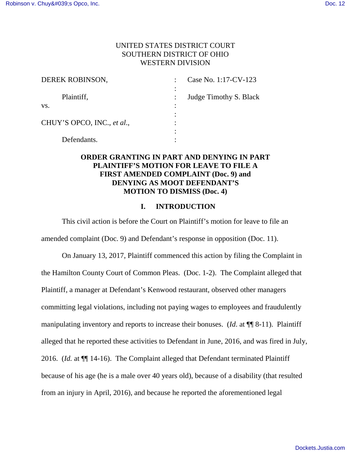# UNITED STATES DISTRICT COURT SOUTHERN DISTRICT OF OHIO WESTERN DIVISION

| DEREK ROBINSON,            | Case No. 1:17-CV-123   |
|----------------------------|------------------------|
| Plaintiff,                 | Judge Timothy S. Black |
| VS.                        |                        |
| CHUY'S OPCO, INC., et al., |                        |
| Defendants.                |                        |

# **ORDER GRANTING IN PART AND DENYING IN PART PLAINTIFF'S MOTION FOR LEAVE TO FILE A FIRST AMENDED COMPLAINT (Doc. 9) and DENYING AS MOOT DEFENDANT'S MOTION TO DISMISS (Doc. 4)**

#### **I. INTRODUCTION**

This civil action is before the Court on Plaintiff's motion for leave to file an amended complaint (Doc. 9) and Defendant's response in opposition (Doc. 11).

On January 13, 2017, Plaintiff commenced this action by filing the Complaint in the Hamilton County Court of Common Pleas. (Doc. 1-2). The Complaint alleged that Plaintiff, a manager at Defendant's Kenwood restaurant, observed other managers committing legal violations, including not paying wages to employees and fraudulently manipulating inventory and reports to increase their bonuses. (*Id*. at ¶¶ 8-11). Plaintiff alleged that he reported these activities to Defendant in June, 2016, and was fired in July, 2016. (*Id.* at ¶¶ 14-16). The Complaint alleged that Defendant terminated Plaintiff because of his age (he is a male over 40 years old), because of a disability (that resulted from an injury in April, 2016), and because he reported the aforementioned legal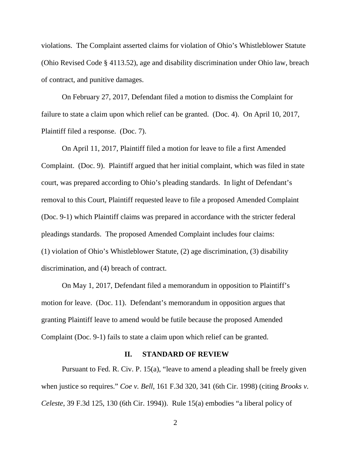violations. The Complaint asserted claims for violation of Ohio's Whistleblower Statute (Ohio Revised Code § 4113.52), age and disability discrimination under Ohio law, breach of contract, and punitive damages.

On February 27, 2017, Defendant filed a motion to dismiss the Complaint for failure to state a claim upon which relief can be granted. (Doc. 4). On April 10, 2017, Plaintiff filed a response. (Doc. 7).

On April 11, 2017, Plaintiff filed a motion for leave to file a first Amended Complaint. (Doc. 9). Plaintiff argued that her initial complaint, which was filed in state court, was prepared according to Ohio's pleading standards. In light of Defendant's removal to this Court, Plaintiff requested leave to file a proposed Amended Complaint (Doc. 9-1) which Plaintiff claims was prepared in accordance with the stricter federal pleadings standards. The proposed Amended Complaint includes four claims: (1) violation of Ohio's Whistleblower Statute, (2) age discrimination, (3) disability discrimination, and (4) breach of contract.

On May 1, 2017, Defendant filed a memorandum in opposition to Plaintiff's motion for leave. (Doc. 11). Defendant's memorandum in opposition argues that granting Plaintiff leave to amend would be futile because the proposed Amended Complaint (Doc. 9-1) fails to state a claim upon which relief can be granted.

#### **II. STANDARD OF REVIEW**

Pursuant to Fed. R. Civ. P. 15(a), "leave to amend a pleading shall be freely given when justice so requires." *Coe v. Bell*, 161 F.3d 320, 341 (6th Cir. 1998) (citing *Brooks v. Celeste*, 39 F.3d 125, 130 (6th Cir. 1994)). Rule 15(a) embodies "a liberal policy of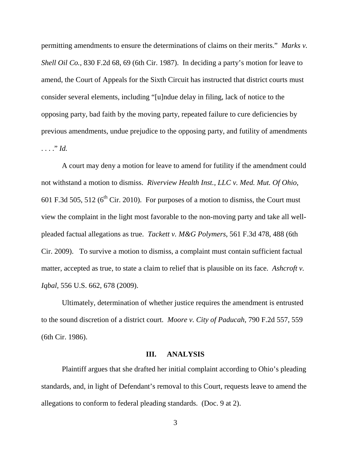permitting amendments to ensure the determinations of claims on their merits." *Marks v. Shell Oil Co.,* 830 F.2d 68, 69 (6th Cir. 1987). In deciding a party's motion for leave to amend, the Court of Appeals for the Sixth Circuit has instructed that district courts must consider several elements, including "[u]ndue delay in filing, lack of notice to the opposing party, bad faith by the moving party, repeated failure to cure deficiencies by previous amendments, undue prejudice to the opposing party, and futility of amendments . . . ." *Id.*

 A court may deny a motion for leave to amend for futility if the amendment could not withstand a motion to dismiss. *Riverview Health Inst., LLC v. Med. Mut. Of Ohio*, 601 F.3d 505, 512 ( $6<sup>th</sup>$  Cir. 2010). For purposes of a motion to dismiss, the Court must view the complaint in the light most favorable to the non-moving party and take all wellpleaded factual allegations as true. *Tackett v. M&G Polymers*, 561 F.3d 478, 488 (6th Cir. 2009). To survive a motion to dismiss, a complaint must contain sufficient factual matter, accepted as true, to state a claim to relief that is plausible on its face. *Ashcroft v. Iqbal*, 556 U.S. 662, 678 (2009).

Ultimately, determination of whether justice requires the amendment is entrusted to the sound discretion of a district court. *Moore v. City of Paducah*, 790 F.2d 557, 559 (6th Cir. 1986).

## **III. ANALYSIS**

Plaintiff argues that she drafted her initial complaint according to Ohio's pleading standards, and, in light of Defendant's removal to this Court, requests leave to amend the allegations to conform to federal pleading standards. (Doc. 9 at 2).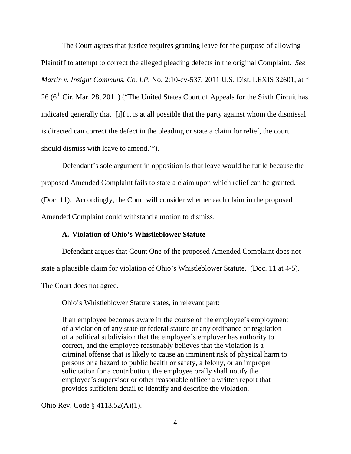The Court agrees that justice requires granting leave for the purpose of allowing Plaintiff to attempt to correct the alleged pleading defects in the original Complaint. *See Martin v. Insight Communs. Co. LP*, No. 2:10-cv-537, 2011 U.S. Dist. LEXIS 32601, at \*  $26$  ( $6<sup>th</sup>$  Cir. Mar. 28, 2011) ("The United States Court of Appeals for the Sixth Circuit has indicated generally that '[i]f it is at all possible that the party against whom the dismissal is directed can correct the defect in the pleading or state a claim for relief, the court should dismiss with leave to amend.'").

 Defendant's sole argument in opposition is that leave would be futile because the proposed Amended Complaint fails to state a claim upon which relief can be granted. (Doc. 11). Accordingly, the Court will consider whether each claim in the proposed Amended Complaint could withstand a motion to dismiss.

# **A. Violation of Ohio's Whistleblower Statute**

Defendant argues that Count One of the proposed Amended Complaint does not state a plausible claim for violation of Ohio's Whistleblower Statute. (Doc. 11 at 4-5). The Court does not agree.

Ohio's Whistleblower Statute states, in relevant part:

If an employee becomes aware in the course of the employee's employment of a violation of any state or federal statute or any ordinance or regulation of a political subdivision that the employee's employer has authority to correct, and the employee reasonably believes that the violation is a criminal offense that is likely to cause an imminent risk of physical harm to persons or a hazard to public health or safety, a felony, or an improper solicitation for a contribution, the employee orally shall notify the employee's supervisor or other reasonable officer a written report that provides sufficient detail to identify and describe the violation.

Ohio Rev. Code § 4113.52(A)(1).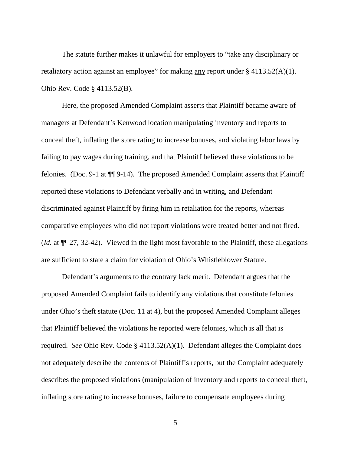The statute further makes it unlawful for employers to "take any disciplinary or retaliatory action against an employee" for making <u>any</u> report under  $\S$  4113.52(A)(1). Ohio Rev. Code § 4113.52(B).

 Here, the proposed Amended Complaint asserts that Plaintiff became aware of managers at Defendant's Kenwood location manipulating inventory and reports to conceal theft, inflating the store rating to increase bonuses, and violating labor laws by failing to pay wages during training, and that Plaintiff believed these violations to be felonies. (Doc. 9-1 at ¶¶ 9-14). The proposed Amended Complaint asserts that Plaintiff reported these violations to Defendant verbally and in writing, and Defendant discriminated against Plaintiff by firing him in retaliation for the reports, whereas comparative employees who did not report violations were treated better and not fired. (*Id.* at ¶¶ 27, 32-42). Viewed in the light most favorable to the Plaintiff, these allegations are sufficient to state a claim for violation of Ohio's Whistleblower Statute.

 Defendant's arguments to the contrary lack merit. Defendant argues that the proposed Amended Complaint fails to identify any violations that constitute felonies under Ohio's theft statute (Doc. 11 at 4), but the proposed Amended Complaint alleges that Plaintiff believed the violations he reported were felonies, which is all that is required. *See* Ohio Rev. Code § 4113.52(A)(1). Defendant alleges the Complaint does not adequately describe the contents of Plaintiff's reports, but the Complaint adequately describes the proposed violations (manipulation of inventory and reports to conceal theft, inflating store rating to increase bonuses, failure to compensate employees during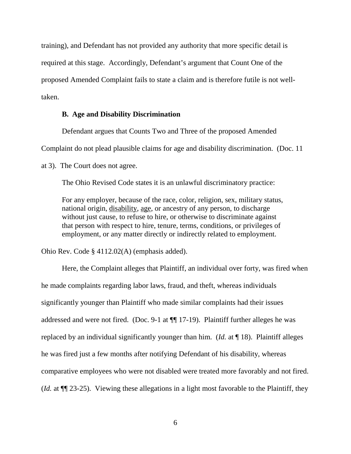training), and Defendant has not provided any authority that more specific detail is required at this stage. Accordingly, Defendant's argument that Count One of the proposed Amended Complaint fails to state a claim and is therefore futile is not welltaken.

#### **B. Age and Disability Discrimination**

Defendant argues that Counts Two and Three of the proposed Amended

Complaint do not plead plausible claims for age and disability discrimination. (Doc. 11

at 3). The Court does not agree.

The Ohio Revised Code states it is an unlawful discriminatory practice:

For any employer, because of the race, color, religion, sex, military status, national origin, disability, age, or ancestry of any person, to discharge without just cause, to refuse to hire, or otherwise to discriminate against that person with respect to hire, tenure, terms, conditions, or privileges of employment, or any matter directly or indirectly related to employment.

Ohio Rev. Code § 4112.02(A) (emphasis added).

 Here, the Complaint alleges that Plaintiff, an individual over forty, was fired when he made complaints regarding labor laws, fraud, and theft, whereas individuals significantly younger than Plaintiff who made similar complaints had their issues addressed and were not fired. (Doc. 9-1 at ¶¶ 17-19). Plaintiff further alleges he was replaced by an individual significantly younger than him. (*Id.* at ¶ 18). Plaintiff alleges he was fired just a few months after notifying Defendant of his disability, whereas comparative employees who were not disabled were treated more favorably and not fired. (*Id.* at ¶¶ 23-25). Viewing these allegations in a light most favorable to the Plaintiff, they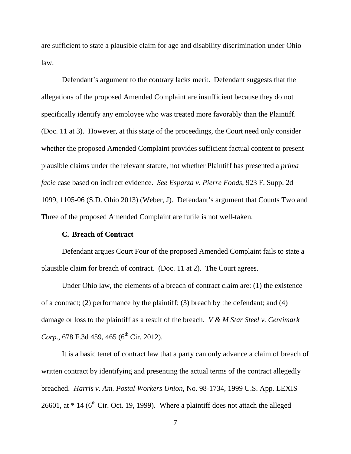are sufficient to state a plausible claim for age and disability discrimination under Ohio law.

 Defendant's argument to the contrary lacks merit. Defendant suggests that the allegations of the proposed Amended Complaint are insufficient because they do not specifically identify any employee who was treated more favorably than the Plaintiff. (Doc. 11 at 3). However, at this stage of the proceedings, the Court need only consider whether the proposed Amended Complaint provides sufficient factual content to present plausible claims under the relevant statute, not whether Plaintiff has presented a *prima facie* case based on indirect evidence. *See Esparza v. Pierre Foods*, 923 F. Supp. 2d 1099, 1105-06 (S.D. Ohio 2013) (Weber, J). Defendant's argument that Counts Two and Three of the proposed Amended Complaint are futile is not well-taken.

## **C. Breach of Contract**

Defendant argues Court Four of the proposed Amended Complaint fails to state a plausible claim for breach of contract. (Doc. 11 at 2). The Court agrees.

 Under Ohio law, the elements of a breach of contract claim are: (1) the existence of a contract; (2) performance by the plaintiff; (3) breach by the defendant; and (4) damage or loss to the plaintiff as a result of the breach. *V & M Star Steel v. Centimark*  Corp., 678 F.3d 459, 465 (6<sup>th</sup> Cir. 2012).

 It is a basic tenet of contract law that a party can only advance a claim of breach of written contract by identifying and presenting the actual terms of the contract allegedly breached. *Harris v. Am. Postal Workers Union*, No. 98-1734, 1999 U.S. App. LEXIS 26601, at  $*$  14 (6<sup>th</sup> Cir. Oct. 19, 1999). Where a plaintiff does not attach the alleged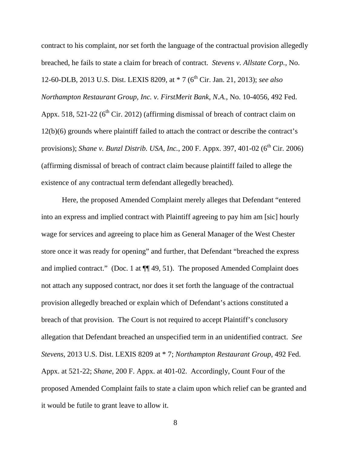contract to his complaint, nor set forth the language of the contractual provision allegedly breached, he fails to state a claim for breach of contract. *Stevens v. Allstate Corp.*, No. 12-60-DLB, 2013 U.S. Dist. LEXIS 8209, at \* 7 (6th Cir. Jan. 21, 2013); *see also Northampton Restaurant Group, Inc. v. FirstMerit Bank, N.A.*, No. 10-4056, 492 Fed. Appx. 518, 521-22 ( $6<sup>th</sup>$  Cir. 2012) (affirming dismissal of breach of contract claim on 12(b)(6) grounds where plaintiff failed to attach the contract or describe the contract's provisions); *Shane v. Bunzl Distrib. USA, Inc.*, 200 F. Appx. 397, 401-02 (6<sup>th</sup> Cir. 2006) (affirming dismissal of breach of contract claim because plaintiff failed to allege the existence of any contractual term defendant allegedly breached).

 Here, the proposed Amended Complaint merely alleges that Defendant "entered into an express and implied contract with Plaintiff agreeing to pay him am [sic] hourly wage for services and agreeing to place him as General Manager of the West Chester store once it was ready for opening" and further, that Defendant "breached the express and implied contract." (Doc. 1 at  $\P$  49, 51). The proposed Amended Complaint does not attach any supposed contract, nor does it set forth the language of the contractual provision allegedly breached or explain which of Defendant's actions constituted a breach of that provision. The Court is not required to accept Plaintiff's conclusory allegation that Defendant breached an unspecified term in an unidentified contract. *See Stevens*, 2013 U.S. Dist. LEXIS 8209 at \* 7; *Northampton Restaurant Group*, 492 Fed. Appx. at 521-22; *Shane*, 200 F. Appx. at 401-02. Accordingly, Count Four of the proposed Amended Complaint fails to state a claim upon which relief can be granted and it would be futile to grant leave to allow it.